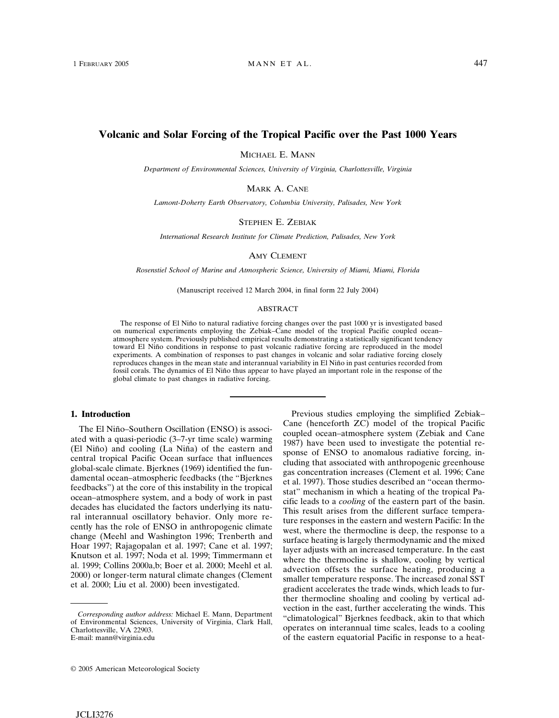# **Volcanic and Solar Forcing of the Tropical Pacific over the Past 1000 Years**

MICHAEL E. MANN

*Department of Environmental Sciences, University of Virginia, Charlottesville, Virginia*

MARK A. CANE

*Lamont-Doherty Earth Observatory, Columbia University, Palisades, New York*

STEPHEN E. ZEBIAK

*International Research Institute for Climate Prediction, Palisades, New York*

## AMY CLEMENT

*Rosenstiel School of Marine and Atmospheric Science, University of Miami, Miami, Florida*

(Manuscript received 12 March 2004, in final form 22 July 2004)

## ABSTRACT

The response of El Niño to natural radiative forcing changes over the past 1000 yr is investigated based on numerical experiments employing the Zebiak–Cane model of the tropical Pacific coupled ocean– atmosphere system. Previously published empirical results demonstrating a statistically significant tendency toward El Niño conditions in response to past volcanic radiative forcing are reproduced in the model experiments. A combination of responses to past changes in volcanic and solar radiative forcing closely reproduces changes in the mean state and interannual variability in El Niño in past centuries recorded from fossil corals. The dynamics of El Niño thus appear to have played an important role in the response of the global climate to past changes in radiative forcing.

## **1. Introduction**

The El Niño–Southern Oscillation (ENSO) is associated with a quasi-periodic (3–7-yr time scale) warming (El Niño) and cooling (La Niña) of the eastern and central tropical Pacific Ocean surface that influences global-scale climate. Bjerknes (1969) identified the fundamental ocean–atmospheric feedbacks (the "Bjerknes feedbacks") at the core of this instability in the tropical ocean–atmosphere system, and a body of work in past decades has elucidated the factors underlying its natural interannual oscillatory behavior. Only more recently has the role of ENSO in anthropogenic climate change (Meehl and Washington 1996; Trenberth and Hoar 1997; Rajagopalan et al. 1997; Cane et al. 1997; Knutson et al. 1997; Noda et al. 1999; Timmermann et al. 1999; Collins 2000a,b; Boer et al. 2000; Meehl et al. 2000) or longer-term natural climate changes (Clement et al. 2000; Liu et al. 2000) been investigated.

© 2005 American Meteorological Society

Previous studies employing the simplified Zebiak– Cane (henceforth ZC) model of the tropical Pacific coupled ocean–atmosphere system (Zebiak and Cane 1987) have been used to investigate the potential response of ENSO to anomalous radiative forcing, including that associated with anthropogenic greenhouse gas concentration increases (Clement et al. 1996; Cane et al. 1997). Those studies described an "ocean thermostat" mechanism in which a heating of the tropical Pacific leads to a *cooling* of the eastern part of the basin. This result arises from the different surface temperature responses in the eastern and western Pacific: In the west, where the thermocline is deep, the response to a surface heating is largely thermodynamic and the mixed layer adjusts with an increased temperature. In the east where the thermocline is shallow, cooling by vertical advection offsets the surface heating, producing a smaller temperature response. The increased zonal SST gradient accelerates the trade winds, which leads to further thermocline shoaling and cooling by vertical advection in the east, further accelerating the winds. This "climatological" Bjerknes feedback, akin to that which operates on interannual time scales, leads to a cooling of the eastern equatorial Pacific in response to a heat-

*Corresponding author address:* Michael E. Mann, Department of Environmental Sciences, University of Virginia, Clark Hall, Charlottesville, VA 22903. E-mail: mann@virginia.edu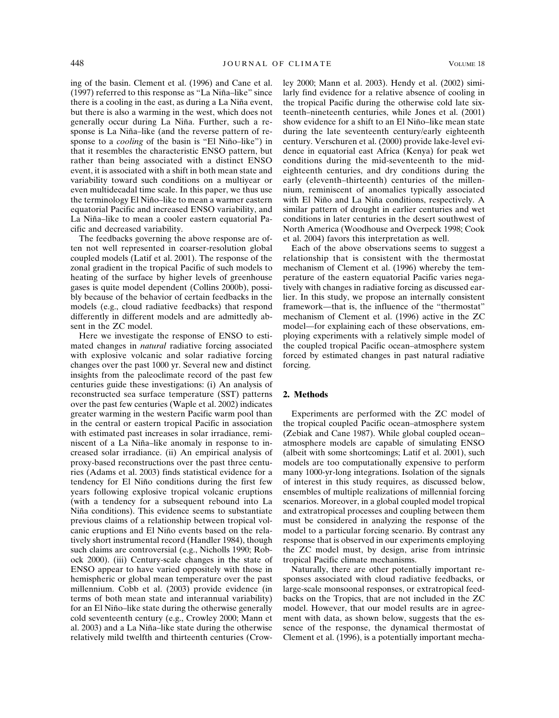ing of the basin. Clement et al. (1996) and Cane et al. (1997) referred to this response as "La Niña–like" since there is a cooling in the east, as during a La Niña event, but there is also a warming in the west, which does not generally occur during La Niña. Further, such a response is La Niña–like (and the reverse pattern of response to a *cooling* of the basin is "El Niño–like") in that it resembles the characteristic ENSO pattern, but rather than being associated with a distinct ENSO event, it is associated with a shift in both mean state and variability toward such conditions on a multiyear or even multidecadal time scale. In this paper, we thus use the terminology El Niño–like to mean a warmer eastern equatorial Pacific and increased ENSO variability, and La Niña–like to mean a cooler eastern equatorial Pacific and decreased variability.

The feedbacks governing the above response are often not well represented in coarser-resolution global coupled models (Latif et al. 2001). The response of the zonal gradient in the tropical Pacific of such models to heating of the surface by higher levels of greenhouse gases is quite model dependent (Collins 2000b), possibly because of the behavior of certain feedbacks in the models (e.g., cloud radiative feedbacks) that respond differently in different models and are admittedly absent in the ZC model.

Here we investigate the response of ENSO to estimated changes in *natural* radiative forcing associated with explosive volcanic and solar radiative forcing changes over the past 1000 yr. Several new and distinct insights from the paleoclimate record of the past few centuries guide these investigations: (i) An analysis of reconstructed sea surface temperature (SST) patterns over the past few centuries (Waple et al. 2002) indicates greater warming in the western Pacific warm pool than in the central or eastern tropical Pacific in association with estimated past increases in solar irradiance, reminiscent of a La Niña–like anomaly in response to increased solar irradiance. (ii) An empirical analysis of proxy-based reconstructions over the past three centuries (Adams et al. 2003) finds statistical evidence for a tendency for El Niño conditions during the first few years following explosive tropical volcanic eruptions (with a tendency for a subsequent rebound into La Niña conditions). This evidence seems to substantiate previous claims of a relationship between tropical volcanic eruptions and El Niño events based on the relatively short instrumental record (Handler 1984), though such claims are controversial (e.g., Nicholls 1990; Robock 2000). (iii) Century-scale changes in the state of ENSO appear to have varied oppositely with those in hemispheric or global mean temperature over the past millennium. Cobb et al. (2003) provide evidence (in terms of both mean state and interannual variability) for an El Niño–like state during the otherwise generally cold seventeenth century (e.g., Crowley 2000; Mann et al. 2003) and a La Niña–like state during the otherwise relatively mild twelfth and thirteenth centuries (Crowley 2000; Mann et al. 2003). Hendy et al. (2002) similarly find evidence for a relative absence of cooling in the tropical Pacific during the otherwise cold late sixteenth–nineteenth centuries, while Jones et al. (2001) show evidence for a shift to an El Niño–like mean state during the late seventeenth century/early eighteenth century. Verschuren et al. (2000) provide lake-level evidence in equatorial east Africa (Kenya) for peak wet conditions during the mid-seventeenth to the mideighteenth centuries, and dry conditions during the early (eleventh–thirteenth) centuries of the millennium, reminiscent of anomalies typically associated with El Niño and La Niña conditions, respectively. A similar pattern of drought in earlier centuries and wet conditions in later centuries in the desert southwest of North America (Woodhouse and Overpeck 1998; Cook et al. 2004) favors this interpretation as well.

Each of the above observations seems to suggest a relationship that is consistent with the thermostat mechanism of Clement et al. (1996) whereby the temperature of the eastern equatorial Pacific varies negatively with changes in radiative forcing as discussed earlier. In this study, we propose an internally consistent framework—that is, the influence of the "thermostat" mechanism of Clement et al. (1996) active in the ZC model—for explaining each of these observations, employing experiments with a relatively simple model of the coupled tropical Pacific ocean–atmosphere system forced by estimated changes in past natural radiative forcing.

## **2. Methods**

Experiments are performed with the ZC model of the tropical coupled Pacific ocean–atmosphere system (Zebiak and Cane 1987). While global coupled ocean– atmosphere models are capable of simulating ENSO (albeit with some shortcomings; Latif et al. 2001), such models are too computationally expensive to perform many 1000-yr-long integrations. Isolation of the signals of interest in this study requires, as discussed below, ensembles of multiple realizations of millennial forcing scenarios. Moreover, in a global coupled model tropical and extratropical processes and coupling between them must be considered in analyzing the response of the model to a particular forcing scenario. By contrast any response that is observed in our experiments employing the ZC model must, by design, arise from intrinsic tropical Pacific climate mechanisms.

Naturally, there are other potentially important responses associated with cloud radiative feedbacks, or large-scale monsoonal responses, or extratropical feedbacks on the Tropics, that are not included in the ZC model. However, that our model results are in agreement with data, as shown below, suggests that the essence of the response, the dynamical thermostat of Clement et al. (1996), is a potentially important mecha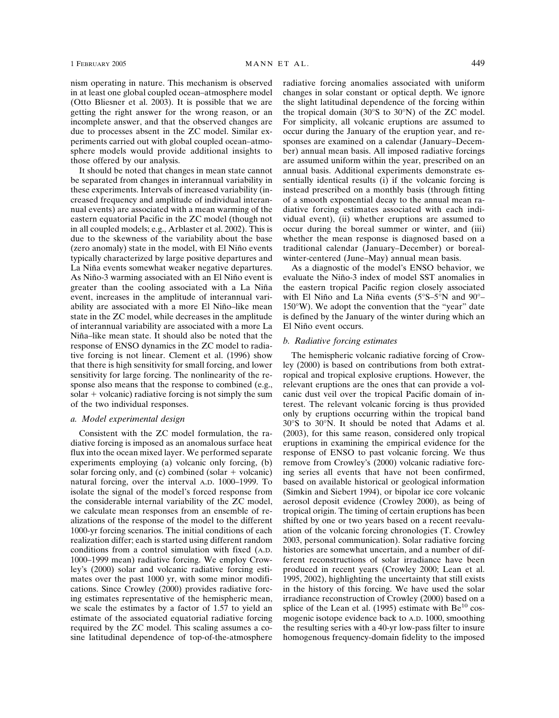nism operating in nature. This mechanism is observed in at least one global coupled ocean–atmosphere model (Otto Bliesner et al. 2003). It is possible that we are getting the right answer for the wrong reason, or an incomplete answer, and that the observed changes are due to processes absent in the ZC model. Similar experiments carried out with global coupled ocean–atmosphere models would provide additional insights to those offered by our analysis.

It should be noted that changes in mean state cannot be separated from changes in interannual variability in these experiments. Intervals of increased variability (increased frequency and amplitude of individual interannual events) are associated with a mean warming of the eastern equatorial Pacific in the ZC model (though not in all coupled models; e.g., Arblaster et al. 2002). This is due to the skewness of the variability about the base (zero anomaly) state in the model, with El Niño events typically characterized by large positive departures and La Niña events somewhat weaker negative departures. As Niño-3 warming associated with an El Niño event is greater than the cooling associated with a La Niña event, increases in the amplitude of interannual variability are associated with a more El Niño–like mean state in the ZC model, while decreases in the amplitude of interannual variability are associated with a more La Niña–like mean state. It should also be noted that the response of ENSO dynamics in the ZC model to radiative forcing is not linear. Clement et al. (1996) show that there is high sensitivity for small forcing, and lower sensitivity for large forcing. The nonlinearity of the response also means that the response to combined (e.g., solar  $+$  volcanic) radiative forcing is not simply the sum of the two individual responses.

### *a. Model experimental design*

Consistent with the ZC model formulation, the radiative forcing is imposed as an anomalous surface heat flux into the ocean mixed layer. We performed separate experiments employing (a) volcanic only forcing, (b) solar forcing only, and (c) combined (solar  $+$  volcanic) natural forcing, over the interval A.D. 1000–1999. To isolate the signal of the model's forced response from the considerable internal variability of the ZC model, we calculate mean responses from an ensemble of realizations of the response of the model to the different 1000-yr forcing scenarios. The initial conditions of each realization differ; each is started using different random conditions from a control simulation with fixed (A.D. 1000–1999 mean) radiative forcing. We employ Crowley's (2000) solar and volcanic radiative forcing estimates over the past 1000 yr, with some minor modifications. Since Crowley (2000) provides radiative forcing estimates representative of the hemispheric mean, we scale the estimates by a factor of 1.57 to yield an estimate of the associated equatorial radiative forcing required by the ZC model. This scaling assumes a cosine latitudinal dependence of top-of-the-atmosphere

radiative forcing anomalies associated with uniform changes in solar constant or optical depth. We ignore the slight latitudinal dependence of the forcing within the tropical domain (30°S to 30°N) of the ZC model. For simplicity, all volcanic eruptions are assumed to occur during the January of the eruption year, and responses are examined on a calendar (January–December) annual mean basis. All imposed radiative forcings are assumed uniform within the year, prescribed on an annual basis. Additional experiments demonstrate essentially identical results (i) if the volcanic forcing is instead prescribed on a monthly basis (through fitting of a smooth exponential decay to the annual mean radiative forcing estimates associated with each individual event), (ii) whether eruptions are assumed to occur during the boreal summer or winter, and (iii) whether the mean response is diagnosed based on a traditional calendar (January–December) or borealwinter-centered (June–May) annual mean basis.

As a diagnostic of the model's ENSO behavior, we evaluate the Niño-3 index of model SST anomalies in the eastern tropical Pacific region closely associated with El Niño and La Niña events (5°S–5°N and 90°–  $150^{\circ}$ W). We adopt the convention that the "year" date is defined by the January of the winter during which an El Niño event occurs.

#### *b. Radiative forcing estimates*

The hemispheric volcanic radiative forcing of Crowley (2000) is based on contributions from both extratropical and tropical explosive eruptions. However, the relevant eruptions are the ones that can provide a volcanic dust veil over the tropical Pacific domain of interest. The relevant volcanic forcing is thus provided only by eruptions occurring within the tropical band 30°S to 30°N. It should be noted that Adams et al. (2003), for this same reason, considered only tropical eruptions in examining the empirical evidence for the response of ENSO to past volcanic forcing. We thus remove from Crowley's (2000) volcanic radiative forcing series all events that have not been confirmed, based on available historical or geological information (Simkin and Siebert 1994), or bipolar ice core volcanic aerosol deposit evidence (Crowley 2000), as being of tropical origin. The timing of certain eruptions has been shifted by one or two years based on a recent reevaluation of the volcanic forcing chronologies (T. Crowley 2003, personal communication). Solar radiative forcing histories are somewhat uncertain, and a number of different reconstructions of solar irradiance have been produced in recent years (Crowley 2000; Lean et al. 1995, 2002), highlighting the uncertainty that still exists in the history of this forcing. We have used the solar irradiance reconstruction of Crowley (2000) based on a splice of the Lean et al. (1995) estimate with  $Be^{10}$  cosmogenic isotope evidence back to A.D. 1000, smoothing the resulting series with a 40-yr low-pass filter to insure homogenous frequency-domain fidelity to the imposed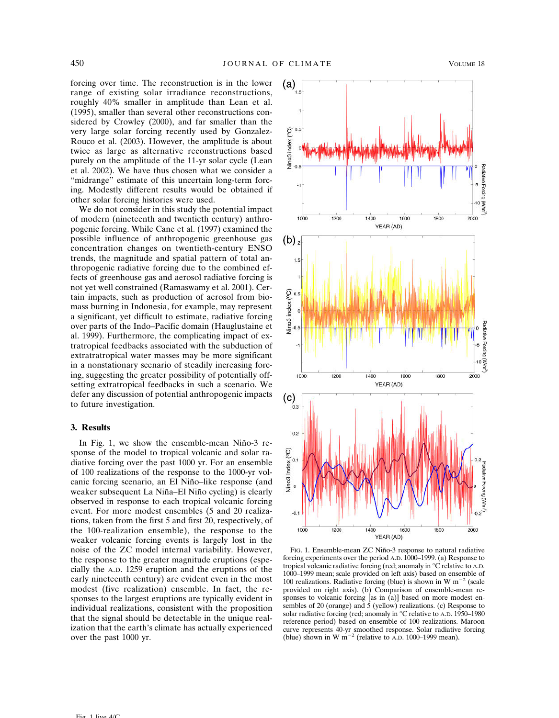forcing over time. The reconstruction is in the lower range of existing solar irradiance reconstructions, roughly 40% smaller in amplitude than Lean et al. (1995), smaller than several other reconstructions considered by Crowley (2000), and far smaller than the very large solar forcing recently used by Gonzalez-Rouco et al. (2003). However, the amplitude is about twice as large as alternative reconstructions based purely on the amplitude of the 11-yr solar cycle (Lean et al. 2002). We have thus chosen what we consider a "midrange" estimate of this uncertain long-term forcing. Modestly different results would be obtained if other solar forcing histories were used.

We do not consider in this study the potential impact of modern (nineteenth and twentieth century) anthropogenic forcing. While Cane et al. (1997) examined the possible influence of anthropogenic greenhouse gas concentration changes on twentieth-century ENSO trends, the magnitude and spatial pattern of total anthropogenic radiative forcing due to the combined effects of greenhouse gas and aerosol radiative forcing is not yet well constrained (Ramaswamy et al. 2001). Certain impacts, such as production of aerosol from biomass burning in Indonesia, for example, may represent a significant, yet difficult to estimate, radiative forcing over parts of the Indo–Pacific domain (Hauglustaine et al. 1999). Furthermore, the complicating impact of extratropical feedbacks associated with the subduction of extratratropical water masses may be more significant in a nonstationary scenario of steadily increasing forcing, suggesting the greater possibility of potentially offsetting extratropical feedbacks in such a scenario. We defer any discussion of potential anthropogenic impacts to future investigation.

## **3. Results**

In Fig. 1, we show the ensemble-mean Niño-3 response of the model to tropical volcanic and solar radiative forcing over the past 1000 yr. For an ensemble of 100 realizations of the response to the 1000-yr volcanic forcing scenario, an El Niño–like response (and weaker subsequent La Niña–El Niño cycling) is clearly observed in response to each tropical volcanic forcing event. For more modest ensembles (5 and 20 realizations, taken from the first 5 and first 20, respectively, of the 100-realization ensemble), the response to the weaker volcanic forcing events is largely lost in the noise of the ZC model internal variability. However, the response to the greater magnitude eruptions (especially the A.D. 1259 eruption and the eruptions of the early nineteenth century) are evident even in the most modest (five realization) ensemble. In fact, the responses to the largest eruptions are typically evident in individual realizations, consistent with the proposition that the signal should be detectable in the unique realization that the earth's climate has actually experienced over the past 1000 yr.



FIG. 1. Ensemble-mean ZC Niño-3 response to natural radiative forcing experiments over the period A.D. 1000–1999. (a) Response to tropical volcanic radiative forcing (red; anomaly in °C relative to A.D. 1000–1999 mean; scale provided on left axis) based on ensemble of 100 realizations. Radiative forcing (blue) is shown in W  $m^{-2}$  (scale provided on right axis). (b) Comparison of ensemble-mean responses to volcanic forcing [as in (a)] based on more modest ensembles of 20 (orange) and 5 (yellow) realizations. (c) Response to solar radiative forcing (red; anomaly in °C relative to A.D. 1950–1980 reference period) based on ensemble of 100 realizations. Maroon curve represents 40-yr smoothed response. Solar radiative forcing (blue) shown in W  $m^{-2}$  (relative to A.D. 1000–1999 mean).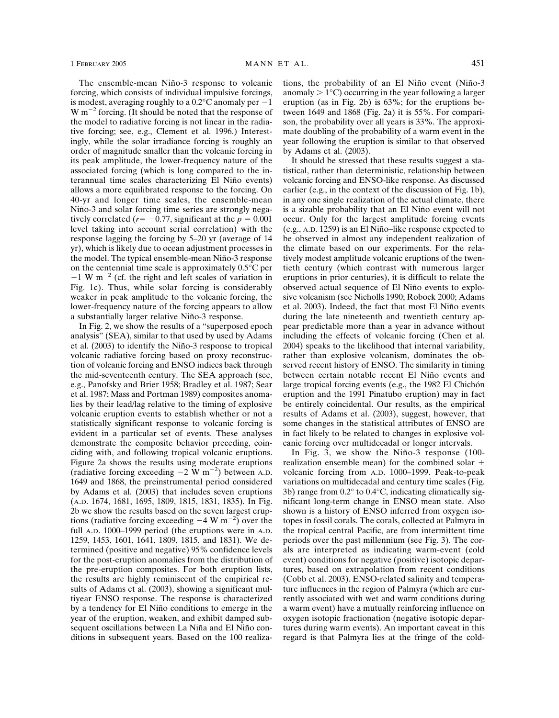The ensemble-mean Niño-3 response to volcanic forcing, which consists of individual impulsive forcings, is modest, averaging roughly to a  $0.2^{\circ}\mathrm{C}$  anomaly per  $-1$  $W m^{-2}$  forcing. (It should be noted that the response of the model to radiative forcing is not linear in the radiative forcing; see, e.g., Clement et al. 1996.) Interestingly, while the solar irradiance forcing is roughly an order of magnitude smaller than the volcanic forcing in its peak amplitude, the lower-frequency nature of the associated forcing (which is long compared to the interannual time scales characterizing El Niño events) allows a more equilibrated response to the forcing. On 40-yr and longer time scales, the ensemble-mean Niño-3 and solar forcing time series are strongly negatively correlated ( $r = -0.77$ , significant at the  $p = 0.001$ level taking into account serial correlation) with the response lagging the forcing by 5–20 yr (average of 14 yr), which is likely due to ocean adjustment processes in the model. The typical ensemble-mean Niño-3 response on the centennial time scale is approximately 0.5°C per  $-1$  W m<sup>-2</sup> (cf. the right and left scales of variation in Fig. 1c). Thus, while solar forcing is considerably weaker in peak amplitude to the volcanic forcing, the lower-frequency nature of the forcing appears to allow a substantially larger relative Niño-3 response.

In Fig. 2, we show the results of a "superposed epoch analysis" (SEA), similar to that used by used by Adams et al. (2003) to identify the Niño-3 response to tropical volcanic radiative forcing based on proxy reconstruction of volcanic forcing and ENSO indices back through the mid-seventeenth century. The SEA approach (see, e.g., Panofsky and Brier 1958; Bradley et al. 1987; Sear et al. 1987; Mass and Portman 1989) composites anomalies by their lead/lag relative to the timing of explosive volcanic eruption events to establish whether or not a statistically significant response to volcanic forcing is evident in a particular set of events. These analyses demonstrate the composite behavior preceding, coinciding with, and following tropical volcanic eruptions. Figure 2a shows the results using moderate eruptions (radiative forcing exceeding  $-2 \text{ W m}^{-2}$ ) between A.D. 1649 and 1868, the preinstrumental period considered by Adams et al. (2003) that includes seven eruptions (A.D. 1674, 1681, 1695, 1809, 1815, 1831, 1835). In Fig. 2b we show the results based on the seven largest eruptions (radiative forcing exceeding  $-4 \text{ W m}^{-2}$ ) over the full A.D. 1000–1999 period (the eruptions were in A.D. 1259, 1453, 1601, 1641, 1809, 1815, and 1831). We determined (positive and negative) 95% confidence levels for the post-eruption anomalies from the distribution of the pre-eruption composites. For both eruption lists, the results are highly reminiscent of the empirical results of Adams et al. (2003), showing a significant multiyear ENSO response. The response is characterized by a tendency for El Niño conditions to emerge in the year of the eruption, weaken, and exhibit damped subsequent oscillations between La Niña and El Niño conditions in subsequent years. Based on the 100 realizations, the probability of an El Niño event (Niño-3 anomaly  $> 1^{\circ}$ C) occurring in the year following a larger eruption (as in Fig. 2b) is 63%; for the eruptions between 1649 and 1868 (Fig. 2a) it is 55%. For comparison, the probability over all years is 33%. The approximate doubling of the probability of a warm event in the year following the eruption is similar to that observed by Adams et al. (2003).

It should be stressed that these results suggest a statistical, rather than deterministic, relationship between volcanic forcing and ENSO-like response. As discussed earlier (e.g., in the context of the discussion of Fig. 1b), in any one single realization of the actual climate, there is a sizable probability that an El Niño event will not occur. Only for the largest amplitude forcing events (e.g., A.D. 1259) is an El Niño–like response expected to be observed in almost any independent realization of the climate based on our experiments. For the relatively modest amplitude volcanic eruptions of the twentieth century (which contrast with numerous larger eruptions in prior centuries), it is difficult to relate the observed actual sequence of El Niño events to explosive volcanism (see Nicholls 1990; Robock 2000; Adams et al. 2003). Indeed, the fact that most El Niño events during the late nineteenth and twentieth century appear predictable more than a year in advance without including the effects of volcanic forcing (Chen et al. 2004) speaks to the likelihood that internal variability, rather than explosive volcanism, dominates the observed recent history of ENSO. The similarity in timing between certain notable recent El Niño events and large tropical forcing events (e.g., the 1982 El Chichón eruption and the 1991 Pinatubo eruption) may in fact be entirely coincidental. Our results, as the empirical results of Adams et al. (2003), suggest, however, that some changes in the statistical attributes of ENSO are in fact likely to be related to changes in explosive volcanic forcing over multidecadal or longer intervals.

In Fig. 3, we show the Niño-3 response (100 realization ensemble mean) for the combined solar  $+$ volcanic forcing from A.D. 1000–1999. Peak-to-peak variations on multidecadal and century time scales (Fig. 3b) range from 0.2° to 0.4°C, indicating climatically significant long-term change in ENSO mean state. Also shown is a history of ENSO inferred from oxygen isotopes in fossil corals. The corals, collected at Palmyra in the tropical central Pacific, are from intermittent time periods over the past millennium (see Fig. 3). The corals are interpreted as indicating warm-event (cold event) conditions for negative (positive) isotopic departures, based on extrapolation from recent conditions (Cobb et al. 2003). ENSO-related salinity and temperature influences in the region of Palmyra (which are currently associated with wet and warm conditions during a warm event) have a mutually reinforcing influence on oxygen isotopic fractionation (negative isotopic departures during warm events). An important caveat in this regard is that Palmyra lies at the fringe of the cold-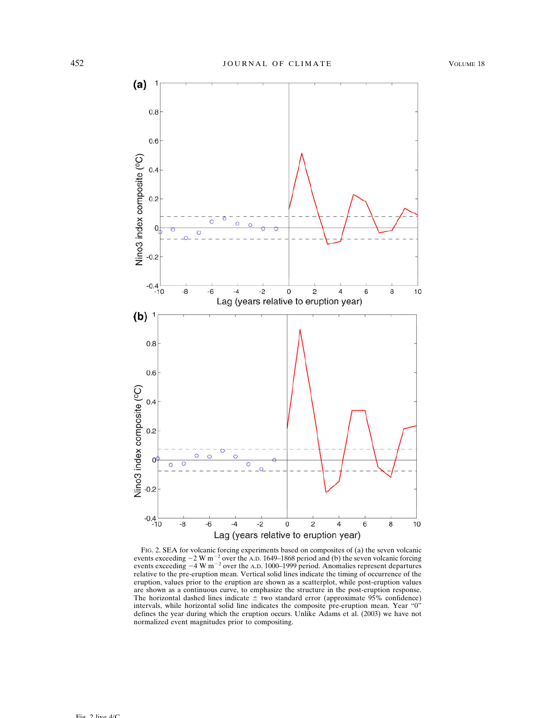

FIG. 2. SEA for volcanic forcing experiments based on composites of (a) the seven volcanic events exceeding  $-2 \text{ W m}^{-2}$  over the A.D. 1649–1868 period and (b) the seven volcanic forcing events exceeding  $-4 \text{ W m}^{-2}$  over the A.D. 1000–1999 period. Anomalies represent departures relative to the pre-eruption mean. Vertical solid lines indicate the timing of occurrence of the eruption, values prior to the eruption are shown as a scatterplot, while post-eruption values are shown as a continuous curve, to emphasize the structure in the post-eruption response. The horizontal dashed lines indicate  $\pm$  two standard error (approximate 95% confidence) intervals, while horizontal solid line indicates the composite pre-eruption mean. Year "0" defines the year during which the eruption occurs. Unlike Adams et al. (2003) we have not normalized event magnitudes prior to compositing.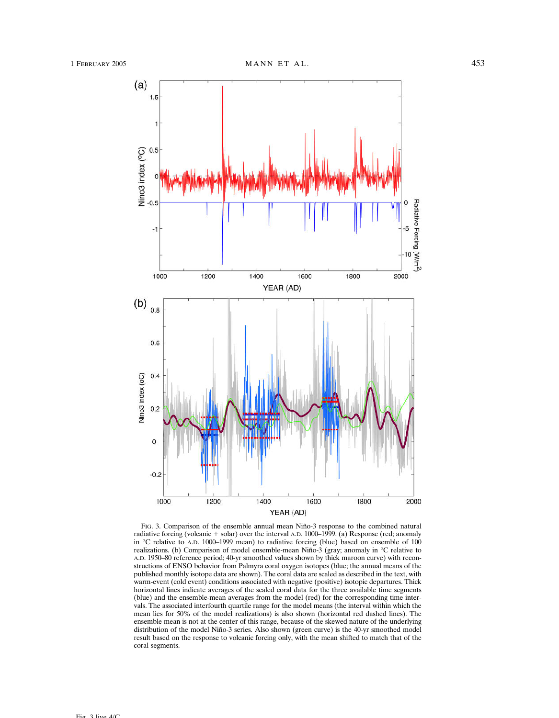

FIG. 3. Comparison of the ensemble annual mean Niño-3 response to the combined natural radiative forcing (volcanic  $+$  solar) over the interval A.D. 1000–1999. (a) Response (red; anomaly in °C relative to A.D. 1000–1999 mean) to radiative forcing (blue) based on ensemble of 100 realizations. (b) Comparison of model ensemble-mean Niño-3 (gray; anomaly in °C relative to A.D. 1950–80 reference period; 40-yr smoothed values shown by thick maroon curve) with reconstructions of ENSO behavior from Palmyra coral oxygen isotopes (blue; the annual means of the published monthly isotope data are shown). The coral data are scaled as described in the text, with warm-event (cold event) conditions associated with negative (positive) isotopic departures. Thick horizontal lines indicate averages of the scaled coral data for the three available time segments (blue) and the ensemble-mean averages from the model (red) for the corresponding time intervals. The associated interfourth quartile range for the model means (the interval within which the mean lies for 50% of the model realizations) is also shown (horizontal red dashed lines). The ensemble mean is not at the center of this range, because of the skewed nature of the underlying distribution of the model Niño-3 series. Also shown (green curve) is the 40-yr smoothed model result based on the response to volcanic forcing only, with the mean shifted to match that of the coral segments.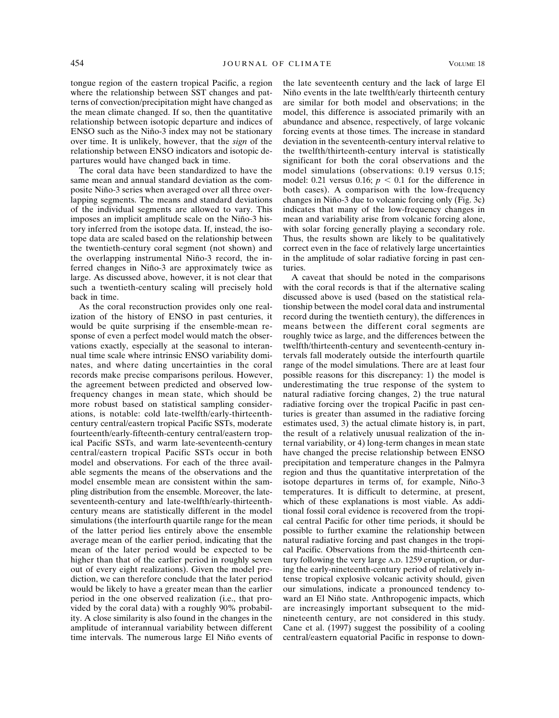tongue region of the eastern tropical Pacific, a region where the relationship between SST changes and patterns of convection/precipitation might have changed as the mean climate changed. If so, then the quantitative relationship between isotopic departure and indices of ENSO such as the Niño-3 index may not be stationary over time. It is unlikely, however, that the *sign* of the relationship between ENSO indicators and isotopic departures would have changed back in time.

The coral data have been standardized to have the same mean and annual standard deviation as the composite Niño-3 series when averaged over all three overlapping segments. The means and standard deviations of the individual segments are allowed to vary. This imposes an implicit amplitude scale on the Niño-3 history inferred from the isotope data. If, instead, the isotope data are scaled based on the relationship between the twentieth-century coral segment (not shown) and the overlapping instrumental Niño-3 record, the inferred changes in Niño-3 are approximately twice as large. As discussed above, however, it is not clear that such a twentieth-century scaling will precisely hold back in time.

As the coral reconstruction provides only one realization of the history of ENSO in past centuries, it would be quite surprising if the ensemble-mean response of even a perfect model would match the observations exactly, especially at the seasonal to interannual time scale where intrinsic ENSO variability dominates, and where dating uncertainties in the coral records make precise comparisons perilous. However, the agreement between predicted and observed lowfrequency changes in mean state, which should be more robust based on statistical sampling considerations, is notable: cold late-twelfth/early-thirteenthcentury central/eastern tropical Pacific SSTs, moderate fourteenth/early-fifteenth-century central/eastern tropical Pacific SSTs, and warm late-seventeenth-century central/eastern tropical Pacific SSTs occur in both model and observations. For each of the three available segments the means of the observations and the model ensemble mean are consistent within the sampling distribution from the ensemble. Moreover, the lateseventeenth-century and late-twelfth/early-thirteenthcentury means are statistically different in the model simulations (the interfourth quartile range for the mean of the latter period lies entirely above the ensemble average mean of the earlier period, indicating that the mean of the later period would be expected to be higher than that of the earlier period in roughly seven out of every eight realizations). Given the model prediction, we can therefore conclude that the later period would be likely to have a greater mean than the earlier period in the one observed realization (i.e., that provided by the coral data) with a roughly 90% probability. A close similarity is also found in the changes in the amplitude of interannual variability between different time intervals. The numerous large El Niño events of

the late seventeenth century and the lack of large El Niño events in the late twelfth/early thirteenth century are similar for both model and observations; in the model, this difference is associated primarily with an abundance and absence, respectively, of large volcanic forcing events at those times. The increase in standard deviation in the seventeenth-century interval relative to the twelfth/thirteenth-century interval is statistically significant for both the coral observations and the model simulations (observations: 0.19 versus 0.15; model: 0.21 versus 0.16;  $p < 0.1$  for the difference in both cases). A comparison with the low-frequency changes in Niño-3 due to volcanic forcing only (Fig. 3c) indicates that many of the low-frequency changes in mean and variability arise from volcanic forcing alone, with solar forcing generally playing a secondary role. Thus, the results shown are likely to be qualitatively correct even in the face of relatively large uncertainties in the amplitude of solar radiative forcing in past centuries.

A caveat that should be noted in the comparisons with the coral records is that if the alternative scaling discussed above is used (based on the statistical relationship between the model coral data and instrumental record during the twentieth century), the differences in means between the different coral segments are roughly twice as large, and the differences between the twelfth/thirteenth-century and seventeenth-century intervals fall moderately outside the interfourth quartile range of the model simulations. There are at least four possible reasons for this discrepancy: 1) the model is underestimating the true response of the system to natural radiative forcing changes, 2) the true natural radiative forcing over the tropical Pacific in past centuries is greater than assumed in the radiative forcing estimates used, 3) the actual climate history is, in part, the result of a relatively unusual realization of the internal variability, or 4) long-term changes in mean state have changed the precise relationship between ENSO precipitation and temperature changes in the Palmyra region and thus the quantitative interpretation of the isotope departures in terms of, for example, Niño-3 temperatures. It is difficult to determine, at present, which of these explanations is most viable. As additional fossil coral evidence is recovered from the tropical central Pacific for other time periods, it should be possible to further examine the relationship between natural radiative forcing and past changes in the tropical Pacific. Observations from the mid-thirteenth century following the very large A.D. 1259 eruption, or during the early-nineteenth-century period of relatively intense tropical explosive volcanic activity should, given our simulations, indicate a pronounced tendency toward an El Niño state. Anthropogenic impacts, which are increasingly important subsequent to the midnineteenth century, are not considered in this study. Cane et al. (1997) suggest the possibility of a cooling central/eastern equatorial Pacific in response to down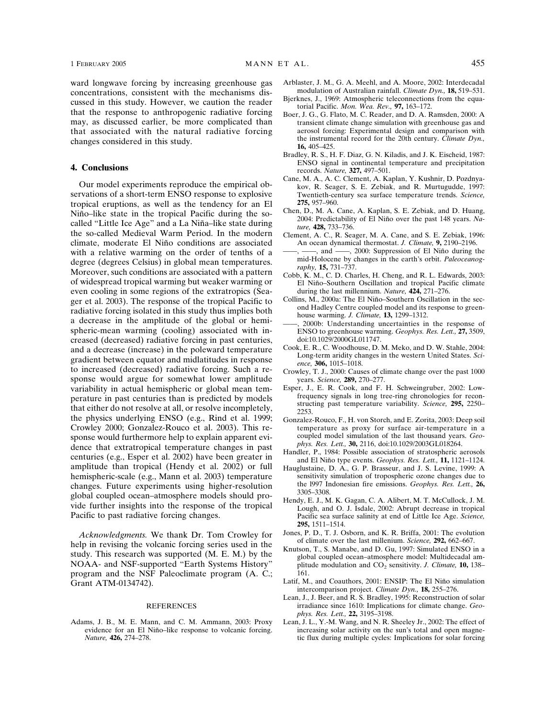ward longwave forcing by increasing greenhouse gas concentrations, consistent with the mechanisms discussed in this study. However, we caution the reader that the response to anthropogenic radiative forcing may, as discussed earlier, be more complicated than that associated with the natural radiative forcing changes considered in this study.

# **4. Conclusions**

Our model experiments reproduce the empirical observations of a short-term ENSO response to explosive tropical eruptions, as well as the tendency for an El Niño–like state in the tropical Pacific during the socalled "Little Ice Age" and a La Niña–like state during the so-called Medieval Warm Period. In the modern climate, moderate El Niño conditions are associated with a relative warming on the order of tenths of a degree (degrees Celsius) in global mean temperatures. Moreover, such conditions are associated with a pattern of widespread tropical warming but weaker warming or even cooling in some regions of the extratropics (Seager et al. 2003). The response of the tropical Pacific to radiative forcing isolated in this study thus implies both a decrease in the amplitude of the global or hemispheric-mean warming (cooling) associated with increased (decreased) radiative forcing in past centuries, and a decrease (increase) in the poleward temperature gradient between equator and midlatitudes in response to increased (decreased) radiative forcing. Such a response would argue for somewhat lower amplitude variability in actual hemispheric or global mean temperature in past centuries than is predicted by models that either do not resolve at all, or resolve incompletely, the physics underlying ENSO (e.g., Rind et al. 1999; Crowley 2000; Gonzalez-Rouco et al. 2003). This response would furthermore help to explain apparent evidence that extratropical temperature changes in past centuries (e.g., Esper et al. 2002) have been greater in amplitude than tropical (Hendy et al. 2002) or full hemispheric-scale (e.g., Mann et al. 2003) temperature changes. Future experiments using higher-resolution global coupled ocean–atmosphere models should provide further insights into the response of the tropical Pacific to past radiative forcing changes.

*Acknowledgments.* We thank Dr. Tom Crowley for help in revising the volcanic forcing series used in the study. This research was supported (M. E. M.) by the NOAA- and NSF-supported "Earth Systems History" program and the NSF Paleoclimate program (A. C.; Grant ATM-0134742).

#### REFERENCES

Adams, J. B., M. E. Mann, and C. M. Ammann, 2003: Proxy evidence for an El Niño–like response to volcanic forcing. *Nature,* **426,** 274–278.

- Arblaster, J. M., G. A. Meehl, and A. Moore, 2002: Interdecadal modulation of Australian rainfall. *Climate Dyn.,* **18,** 519–531.
- Bjerknes, J., 1969: Atmospheric teleconnections from the equatorial Pacific. *Mon. Wea. Rev.,* **97,** 163–172.
- Boer, J. G., G. Flato, M. C. Reader, and D. A. Ramsden, 2000: A transient climate change simulation with greenhouse gas and aerosol forcing: Experimental design and comparison with the instrumental record for the 20th century. *Climate Dyn.,* **16,** 405–425.
- Bradley, R. S., H. F. Diaz, G. N. Kiladis, and J. K. Eischeid, 1987: ENSO signal in continental temperature and precipitation records. *Nature,* **327,** 497–501.
- Cane, M. A., A. C. Clement, A. Kaplan, Y. Kushnir, D. Pozdnyakov, R. Seager, S. E. Zebiak, and R. Murtugudde, 1997: Twentieth-century sea surface temperature trends. *Science,* **275,** 957–960.
- Chen, D., M. A. Cane, A. Kaplan, S. E. Zebiak, and D. Huang, 2004: Predictability of El Niño over the past 148 years. *Nature,* **428,** 733–736.
- Clement, A. C., R. Seager, M. A. Cane, and S. E. Zebiak, 1996: An ocean dynamical thermostat. *J. Climate,* **9,** 2190–2196.
- -, and ——, 2000: Suppression of El Niño during the mid-Holocene by changes in the earth's orbit. *Paleoceanography,* **15,** 731–737.
- Cobb, K. M., C. D. Charles, H. Cheng, and R. L. Edwards, 2003: El Niño–Southern Oscillation and tropical Pacific climate during the last millennium. *Nature,* **424,** 271–276.
- Collins, M., 2000a: The El Niño–Southern Oscillation in the second Hadley Centre coupled model and its response to greenhouse warming. *J. Climate,* **13,** 1299–1312.
- 2000b: Understanding uncertainties in the response of ENSO to greenhouse warming. *Geophys. Res. Lett.,* **27,** 3509, doi:10.1029/2000GL011747.
- Cook, E. R., C. Woodhouse, D. M. Meko, and D. W. Stahle, 2004: Long-term aridity changes in the western United States. *Science,* **306,** 1015–1018.
- Crowley, T. J., 2000: Causes of climate change over the past 1000 years. *Science,* **289,** 270–277.
- Esper, J., E. R. Cook, and F. H. Schweingruber, 2002: Lowfrequency signals in long tree-ring chronologies for reconstructing past temperature variability. *Science,* **295,** 2250– 2253.
- Gonzalez-Rouco, F., H. von Storch, and E. Zorita, 2003: Deep soil temperature as proxy for surface air-temperature in a coupled model simulation of the last thousand years. *Geophys. Res. Lett.,* **30,** 2116, doi:10.1029/2003GL018264.
- Handler, P., 1984: Possible association of stratospheric aerosols and El Niño type events. *Geophys. Res. Lett.,* **11,** 1121–1124.
- Hauglustaine, D. A., G. P. Brasseur, and J. S. Levine, 1999: A sensitivity simulation of tropospheric ozone changes due to the l997 Indonesian fire emissions. *Geophys. Res. Lett.,* **26,** 3305–3308.
- Hendy, E. J., M. K. Gagan, C. A. Alibert, M. T. McCullock, J. M. Lough, and O. J. Isdale, 2002: Abrupt decrease in tropical Pacific sea surface salinity at end of Little Ice Age. *Science,* **295,** 1511–1514.
- Jones, P. D., T. J. Osborn, and K. R. Briffa, 2001: The evolution of climate over the last millenium. *Science,* **292,** 662–667.
- Knutson, T., S. Manabe, and D. Gu, 1997: Simulated ENSO in a global coupled ocean–atmosphere model: Multidecadal amplitude modulation and CO<sub>2</sub> sensitivity. *J. Climate*, **10**, 138– 161.
- Latif, M., and Coauthors, 2001: ENSIP: The El Niño simulation intercomparison project. *Climate Dyn.,* **18,** 255–276.
- Lean, J., J. Beer, and R. S. Bradley, 1995: Reconstruction of solar irradiance since 1610: Implications for climate change. *Geophys. Res. Lett.,* **22,** 3195–3198.
- Lean, J. L., Y.-M. Wang, and N. R. Sheeley Jr., 2002: The effect of increasing solar activity on the sun's total and open magnetic flux during multiple cycles: Implications for solar forcing